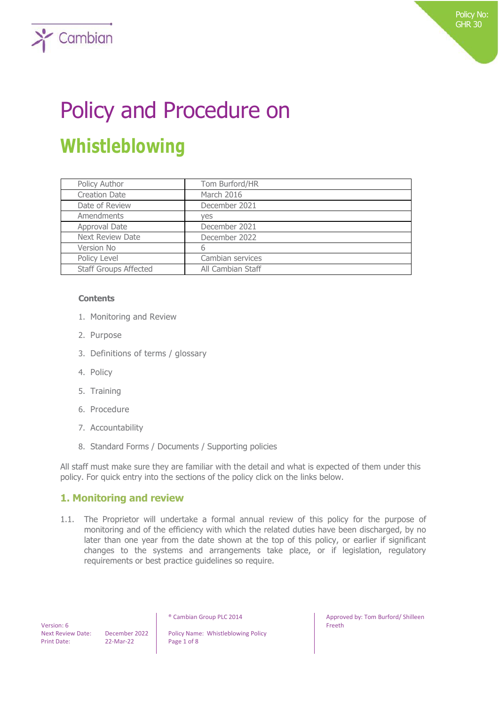# Policy and Procedure on **Whistleblowing**

| Policy Author                | Tom Burford/HR    |
|------------------------------|-------------------|
| <b>Creation Date</b>         | March 2016        |
| Date of Review               | December 2021     |
| Amendments                   | ves               |
| Approval Date                | December 2021     |
| Next Review Date             | December 2022     |
| Version No                   | 6                 |
| Policy Level                 | Cambian services  |
| <b>Staff Groups Affected</b> | All Cambian Staff |

#### **Contents**

 $\sum$  Cambian

- 1. Monitoring and Review
- 2. Purpose
- 3. Definitions of terms / glossary
- 4. Policy
- 5. Training
- 6. Procedure
- 7. Accountability
- 8. Standard Forms / Documents / Supporting policies

All staff must make sure they are familiar with the detail and what is expected of them under this policy. For quick entry into the sections of the policy click on the links below.

# **1. Monitoring and review**

1.1. The Proprietor will undertake a formal annual review of this policy for the purpose of monitoring and of the efficiency with which the related duties have been discharged, by no later than one year from the date shown at the top of this policy, or earlier if significant changes to the systems and arrangements take place, or if legislation, regulatory requirements or best practice guidelines so require.

 Version: 6 Print Date: 22-Mar-22 Page 1 of 8

Next Review Date: December 2022 | Policy Name: Whistleblowing Policy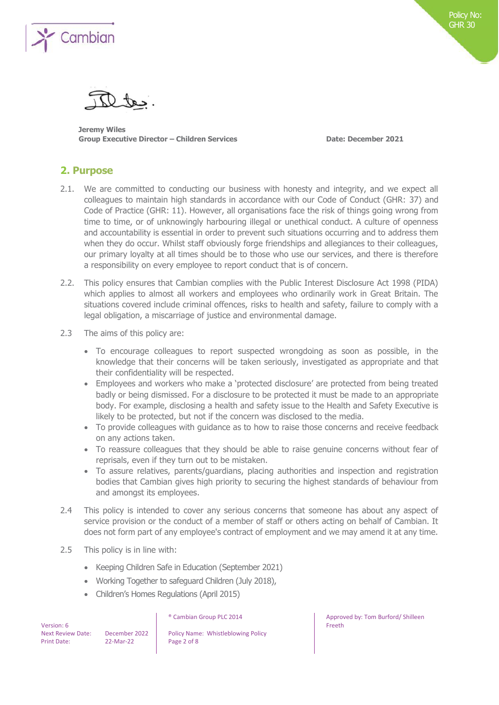

**Jeremy Wiles Group Executive Director – Children Services Date: December 2021**

# **2. Purpose**

- 2.1. We are committed to conducting our business with honesty and integrity, and we expect all colleagues to maintain high standards in accordance with our Code of Conduct (GHR: 37) and Code of Practice (GHR: 11). However, all organisations face the risk of things going wrong from time to time, or of unknowingly harbouring illegal or unethical conduct. A culture of openness and accountability is essential in order to prevent such situations occurring and to address them when they do occur. Whilst staff obviously forge friendships and allegiances to their colleagues, our primary loyalty at all times should be to those who use our services, and there is therefore a responsibility on every employee to report conduct that is of concern.
- 2.2. This policy ensures that Cambian complies with the Public Interest Disclosure Act 1998 (PIDA) which applies to almost all workers and employees who ordinarily work in Great Britain. The situations covered include criminal offences, risks to health and safety, failure to comply with a legal obligation, a miscarriage of justice and environmental damage.
- 2.3 The aims of this policy are:
	- To encourage colleagues to report suspected wrongdoing as soon as possible, in the knowledge that their concerns will be taken seriously, investigated as appropriate and that their confidentiality will be respected.
	- Employees and workers who make a 'protected disclosure' are protected from being treated badly or being dismissed. For a disclosure to be protected it must be made to an appropriate body. For example, disclosing a health and safety issue to the Health and Safety Executive is likely to be protected, but not if the concern was disclosed to the media.
	- To provide colleagues with guidance as to how to raise those concerns and receive feedback on any actions taken.
	- To reassure colleagues that they should be able to raise genuine concerns without fear of reprisals, even if they turn out to be mistaken.
	- To assure relatives, parents/guardians, placing authorities and inspection and registration bodies that Cambian gives high priority to securing the highest standards of behaviour from and amongst its employees.
- 2.4 This policy is intended to cover any serious concerns that someone has about any aspect of service provision or the conduct of a member of staff or others acting on behalf of Cambian. It does not form part of any employee's contract of employment and we may amend it at any time.
- 2.5 This policy is in line with:
	- Keeping Children Safe in Education (September 2021)
	- Working Together to safeguard Children (July 2018),
	- Children's Homes Regulations (April 2015)

| Version: 6               |  |
|--------------------------|--|
| <b>Next Review Date:</b> |  |
| <b>Print Date:</b>       |  |

December 2022 | Policy Name: Whistleblowing Policy 22-Mar-22 Page 2 of 8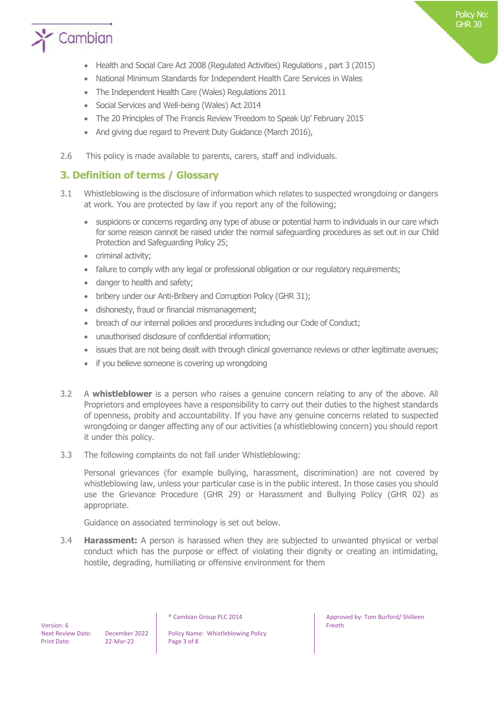

- Health and Social Care Act 2008 (Regulated Activities) Regulations , part 3 (2015)
- National Minimum Standards for Independent Health Care Services in Wales
- The Independent Health Care (Wales) Regulations 2011
- Social Services and Well-being (Wales) Act 2014
- The 20 Principles of The Francis Review 'Freedom to Speak Up' February 2015
- And giving due regard to Prevent Duty Guidance (March 2016),
- 2.6 This policy is made available to parents, carers, staff and individuals.

# **3. Definition of terms / Glossary**

- 3.1 Whistleblowing is the disclosure of information which relates to suspected wrongdoing or dangers at work. You are protected by law if you report any of the following;
	- suspicions or concerns regarding any type of abuse or potential harm to individuals in our care which for some reason cannot be raised under the normal safeguarding procedures as set out in our Child Protection and Safeguarding Policy 25;
	- criminal activity;
	- failure to comply with any legal or professional obligation or our regulatory requirements;
	- danger to health and safety;
	- bribery under our Anti-Bribery and Corruption Policy (GHR 31);
	- dishonesty, fraud or financial mismanagement;
	- breach of our internal policies and procedures including our Code of Conduct;
	- unauthorised disclosure of confidential information;
	- issues that are not being dealt with through clinical governance reviews or other legitimate avenues;
	- if you believe someone is covering up wrongdoing
- 3.2 A **whistleblower** is a person who raises a genuine concern relating to any of the above. All Proprietors and employees have a responsibility to carry out their duties to the highest standards of openness, probity and accountability. If you have any genuine concerns related to suspected wrongdoing or danger affecting any of our activities (a whistleblowing concern) you should report it under this policy.
- 3.3 The following complaints do not fall under Whistleblowing:

Personal grievances (for example bullying, harassment, discrimination) are not covered by whistleblowing law, unless your particular case is in the public interest. In those cases you should use the Grievance Procedure (GHR 29) or Harassment and Bullying Policy (GHR 02) as appropriate.

Guidance on associated terminology is set out below.

3.4 **Harassment:** A person is harassed when they are subjected to unwanted physical or verbal conduct which has the purpose or effect of violating their dignity or creating an intimidating, hostile, degrading, humiliating or offensive environment for them

Next Review Date: December 2022 | Policy Name: Whistleblowing Policy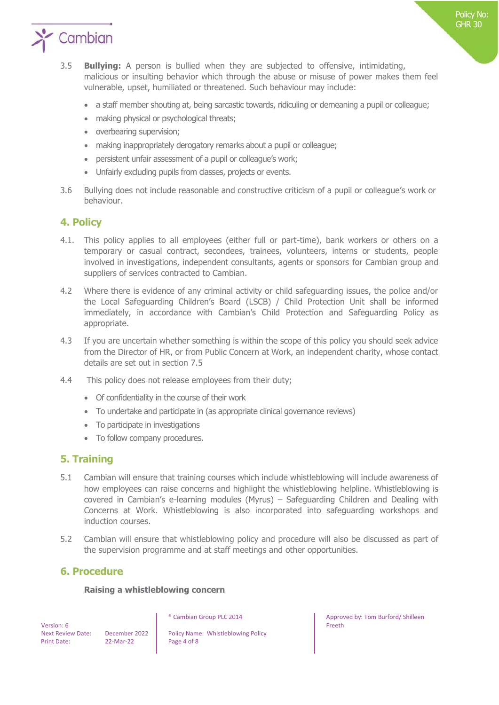

- 3.5 **Bullying:** A person is bullied when they are subjected to offensive, intimidating, malicious or insulting behavior which through the abuse or misuse of power makes them feel vulnerable, upset, humiliated or threatened. Such behaviour may include:
	- a staff member shouting at, being sarcastic towards, ridiculing or demeaning a pupil or colleague;
	- making physical or psychological threats;
	- overbearing supervision;
	- making inappropriately derogatory remarks about a pupil or colleague;
	- persistent unfair assessment of a pupil or colleague's work;
	- Unfairly excluding pupils from classes, projects or events.
- 3.6 Bullying does not include reasonable and constructive criticism of a pupil or colleague's work or behaviour.

## **4. Policy**

- 4.1. This policy applies to all employees (either full or part-time), bank workers or others on a temporary or casual contract, secondees, trainees, volunteers, interns or students, people involved in investigations, independent consultants, agents or sponsors for Cambian group and suppliers of services contracted to Cambian.
- 4.2 Where there is evidence of any criminal activity or child safeguarding issues, the police and/or the Local Safeguarding Children's Board (LSCB) / Child Protection Unit shall be informed immediately, in accordance with Cambian's Child Protection and Safeguarding Policy as appropriate.
- 4.3 If you are uncertain whether something is within the scope of this policy you should seek advice from the Director of HR, or from Public Concern at Work, an independent charity, whose contact details are set out in section 7.5
- 4.4 This policy does not release employees from their duty;
	- Of confidentiality in the course of their work
	- To undertake and participate in (as appropriate clinical governance reviews)
	- To participate in investigations
	- To follow company procedures.

## **5. Training**

- 5.1 Cambian will ensure that training courses which include whistleblowing will include awareness of how employees can raise concerns and highlight the whistleblowing helpline. Whistleblowing is covered in Cambian's e-learning modules (Myrus) – Safeguarding Children and Dealing with Concerns at Work. Whistleblowing is also incorporated into safeguarding workshops and induction courses.
- 5.2 Cambian will ensure that whistleblowing policy and procedure will also be discussed as part of the supervision programme and at staff meetings and other opportunities.

## **6. Procedure**

#### **Raising a whistleblowing concern**

 Version: 6 Print Date: 22-Mar-22 Page 4 of 8

Next Review Date: December 2022 | Policy Name: Whistleblowing Policy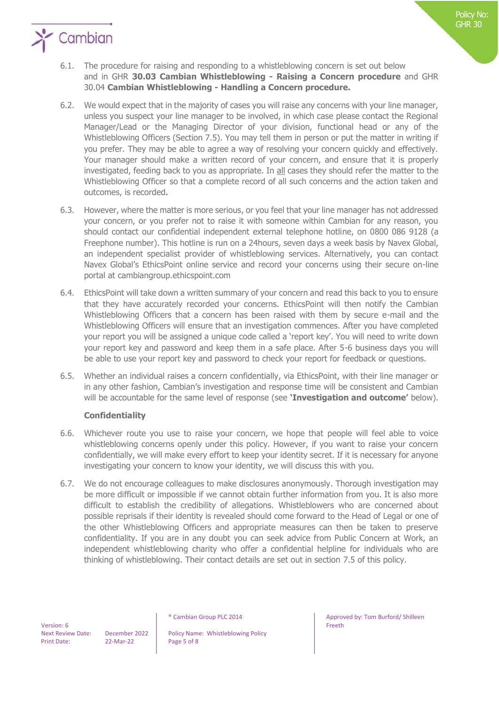

- 6.2. We would expect that in the majority of cases you will raise any concerns with your line manager, unless you suspect your line manager to be involved, in which case please contact the Regional Manager/Lead or the Managing Director of your division, functional head or any of the Whistleblowing Officers (Section 7.5). You may tell them in person or put the matter in writing if you prefer. They may be able to agree a way of resolving your concern quickly and effectively. Your manager should make a written record of your concern, and ensure that it is properly investigated, feeding back to you as appropriate. In all cases they should refer the matter to the Whistleblowing Officer so that a complete record of all such concerns and the action taken and outcomes, is recorded.
- 6.3. However, where the matter is more serious, or you feel that your line manager has not addressed your concern, or you prefer not to raise it with someone within Cambian for any reason, you should contact our confidential independent external telephone hotline, on 0800 086 9128 (a Freephone number). This hotline is run on a 24hours, seven days a week basis by Navex Global, an independent specialist provider of whistleblowing services. Alternatively, you can contact Navex Global's EthicsPoint online service and record your concerns using their secure on-line portal at cambiangroup.ethicspoint.com
- 6.4. EthicsPoint will take down a written summary of your concern and read this back to you to ensure that they have accurately recorded your concerns. EthicsPoint will then notify the Cambian Whistleblowing Officers that a concern has been raised with them by secure e-mail and the Whistleblowing Officers will ensure that an investigation commences. After you have completed your report you will be assigned a unique code called a 'report key'. You will need to write down your report key and password and keep them in a safe place. After 5-6 business days you will be able to use your report key and password to check your report for feedback or questions.
- 6.5. Whether an individual raises a concern confidentially, via EthicsPoint, with their line manager or in any other fashion, Cambian's investigation and response time will be consistent and Cambian will be accountable for the same level of response (see **'Investigation and outcome'** below).

## **Confidentiality**

- 6.6. Whichever route you use to raise your concern, we hope that people will feel able to voice whistleblowing concerns openly under this policy. However, if you want to raise your concern confidentially, we will make every effort to keep your identity secret. If it is necessary for anyone investigating your concern to know your identity, we will discuss this with you.
- 6.7. We do not encourage colleagues to make disclosures anonymously. Thorough investigation may be more difficult or impossible if we cannot obtain further information from you. It is also more difficult to establish the credibility of allegations. Whistleblowers who are concerned about possible reprisals if their identity is revealed should come forward to the Head of Legal or one of the other Whistleblowing Officers and appropriate measures can then be taken to preserve confidentiality. If you are in any doubt you can seek advice from Public Concern at Work, an independent whistleblowing charity who offer a confidential helpline for individuals who are thinking of whistleblowing. Their contact details are set out in section 7.5 of this policy.

Next Review Date: December 2022 | Policy Name: Whistleblowing Policy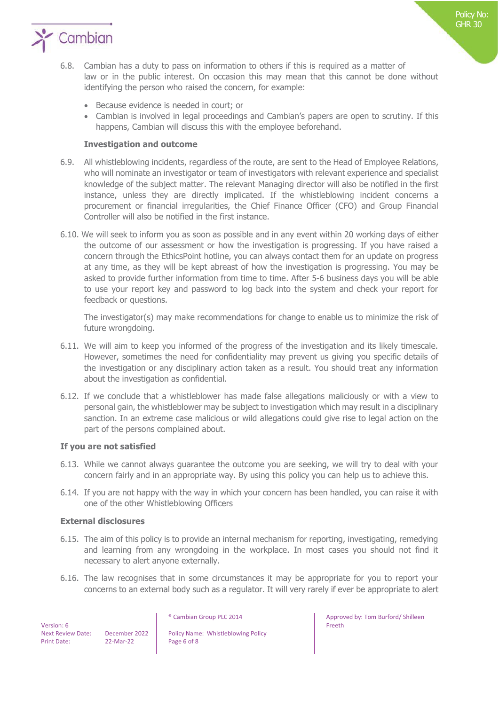

- 6.8. Cambian has a duty to pass on information to others if this is required as a matter of law or in the public interest. On occasion this may mean that this cannot be done without identifying the person who raised the concern, for example:
	- Because evidence is needed in court; or
	- Cambian is involved in legal proceedings and Cambian's papers are open to scrutiny. If this happens, Cambian will discuss this with the employee beforehand.

#### **Investigation and outcome**

- 6.9. All whistleblowing incidents, regardless of the route, are sent to the Head of Employee Relations, who will nominate an investigator or team of investigators with relevant experience and specialist knowledge of the subject matter. The relevant Managing director will also be notified in the first instance, unless they are directly implicated. If the whistleblowing incident concerns a procurement or financial irregularities, the Chief Finance Officer (CFO) and Group Financial Controller will also be notified in the first instance.
- 6.10. We will seek to inform you as soon as possible and in any event within 20 working days of either the outcome of our assessment or how the investigation is progressing. If you have raised a concern through the EthicsPoint hotline, you can always contact them for an update on progress at any time, as they will be kept abreast of how the investigation is progressing. You may be asked to provide further information from time to time. After 5-6 business days you will be able to use your report key and password to log back into the system and check your report for feedback or questions.

The investigator(s) may make recommendations for change to enable us to minimize the risk of future wrongdoing.

- 6.11. We will aim to keep you informed of the progress of the investigation and its likely timescale. However, sometimes the need for confidentiality may prevent us giving you specific details of the investigation or any disciplinary action taken as a result. You should treat any information about the investigation as confidential.
- 6.12. If we conclude that a whistleblower has made false allegations maliciously or with a view to personal gain, the whistleblower may be subject to investigation which may result in a disciplinary sanction. In an extreme case malicious or wild allegations could give rise to legal action on the part of the persons complained about.

#### **If you are not satisfied**

- 6.13. While we cannot always guarantee the outcome you are seeking, we will try to deal with your concern fairly and in an appropriate way. By using this policy you can help us to achieve this.
- 6.14. If you are not happy with the way in which your concern has been handled, you can raise it with one of the other Whistleblowing Officers

#### **External disclosures**

- 6.15. The aim of this policy is to provide an internal mechanism for reporting, investigating, remedying and learning from any wrongdoing in the workplace. In most cases you should not find it necessary to alert anyone externally.
- 6.16. The law recognises that in some circumstances it may be appropriate for you to report your concerns to an external body such as a regulator. It will very rarely if ever be appropriate to alert

 Version: 6 Print Date: 22-Mar-22 Page 6 of 8

Next Review Date: December 2022 | Policy Name: Whistleblowing Policy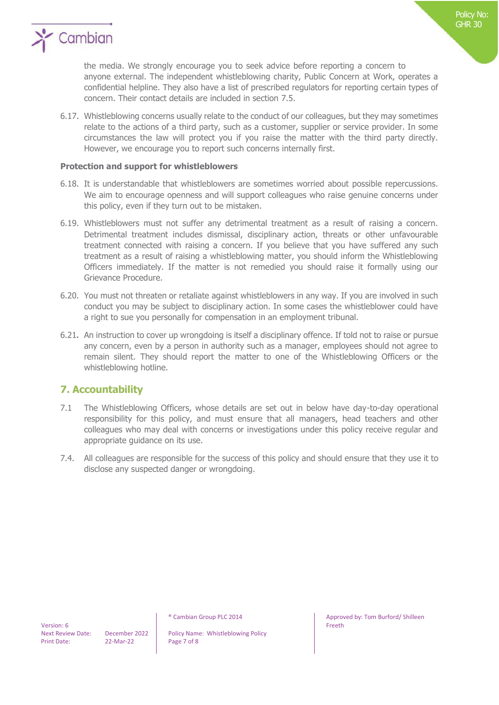

the media. We strongly encourage you to seek advice before reporting a concern to anyone external. The independent whistleblowing charity, Public Concern at Work, operates a confidential helpline. They also have a list of prescribed regulators for reporting certain types of concern. Their contact details are included in section 7.5.

6.17. Whistleblowing concerns usually relate to the conduct of our colleagues, but they may sometimes relate to the actions of a third party, such as a customer, supplier or service provider. In some circumstances the law will protect you if you raise the matter with the third party directly. However, we encourage you to report such concerns internally first.

#### **Protection and support for whistleblowers**

- 6.18. It is understandable that whistleblowers are sometimes worried about possible repercussions. We aim to encourage openness and will support colleagues who raise genuine concerns under this policy, even if they turn out to be mistaken.
- 6.19. Whistleblowers must not suffer any detrimental treatment as a result of raising a concern. Detrimental treatment includes dismissal, disciplinary action, threats or other unfavourable treatment connected with raising a concern. If you believe that you have suffered any such treatment as a result of raising a whistleblowing matter, you should inform the Whistleblowing Officers immediately. If the matter is not remedied you should raise it formally using our Grievance Procedure.
- 6.20. You must not threaten or retaliate against whistleblowers in any way. If you are involved in such conduct you may be subject to disciplinary action. In some cases the whistleblower could have a right to sue you personally for compensation in an employment tribunal.
- 6.21**.** An instruction to cover up wrongdoing is itself a disciplinary offence. If told not to raise or pursue any concern, even by a person in authority such as a manager, employees should not agree to remain silent. They should report the matter to one of the Whistleblowing Officers or the whistleblowing hotline.

## **7. Accountability**

- 7.1 The Whistleblowing Officers, whose details are set out in below have day-to-day operational responsibility for this policy, and must ensure that all managers, head teachers and other colleagues who may deal with concerns or investigations under this policy receive regular and appropriate guidance on its use.
- 7.4. All colleagues are responsible for the success of this policy and should ensure that they use it to disclose any suspected danger or wrongdoing.

Next Review Date: December 2022 | Policy Name: Whistleblowing Policy